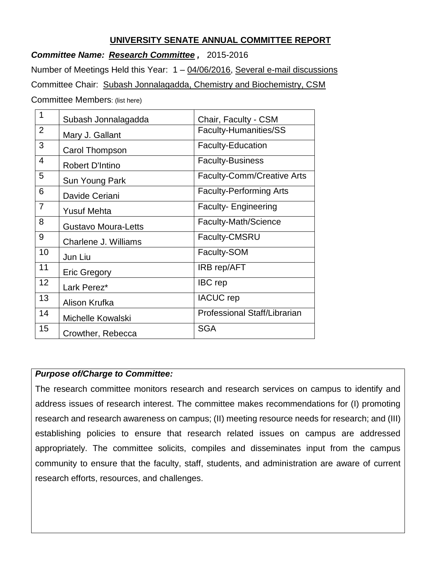### **UNIVERSITY SENATE ANNUAL COMMITTEE REPORT**

*Committee Name: Research Committee ,* 2015-2016

Number of Meetings Held this Year: 1 – 04/06/2016, Several e-mail discussions Committee Chair: Subash Jonnalagadda, Chemistry and Biochemistry, CSM Committee Members: (list here)

| 1              | Subash Jonnalagadda        | Chair, Faculty - CSM              |
|----------------|----------------------------|-----------------------------------|
| $\overline{2}$ | Mary J. Gallant            | Faculty-Humanities/SS             |
| 3              | Carol Thompson             | <b>Faculty-Education</b>          |
| $\overline{4}$ | <b>Robert D'Intino</b>     | <b>Faculty-Business</b>           |
| 5              | Sun Young Park             | <b>Faculty-Comm/Creative Arts</b> |
| 6              | Davide Ceriani             | <b>Faculty-Performing Arts</b>    |
| $\overline{7}$ | <b>Yusuf Mehta</b>         | <b>Faculty-Engineering</b>        |
| 8              | <b>Gustavo Moura-Letts</b> | Faculty-Math/Science              |
| 9              | Charlene J. Williams       | Faculty-CMSRU                     |
| 10             | Jun Liu                    | Faculty-SOM                       |
| 11             | <b>Eric Gregory</b>        | <b>IRB rep/AFT</b>                |
| 12             | Lark Perez*                | <b>IBC</b> rep                    |
| 13             | Alison Krufka              | <b>IACUC</b> rep                  |
| 14             | Michelle Kowalski          | Professional Staff/Librarian      |
| 15             | Crowther, Rebecca          | <b>SGA</b>                        |

### *Purpose of/Charge to Committee:*

The research committee monitors research and research services on campus to identify and address issues of research interest. The committee makes recommendations for (I) promoting research and research awareness on campus; (II) meeting resource needs for research; and (III) establishing policies to ensure that research related issues on campus are addressed appropriately. The committee solicits, compiles and disseminates input from the campus community to ensure that the faculty, staff, students, and administration are aware of current research efforts, resources, and challenges.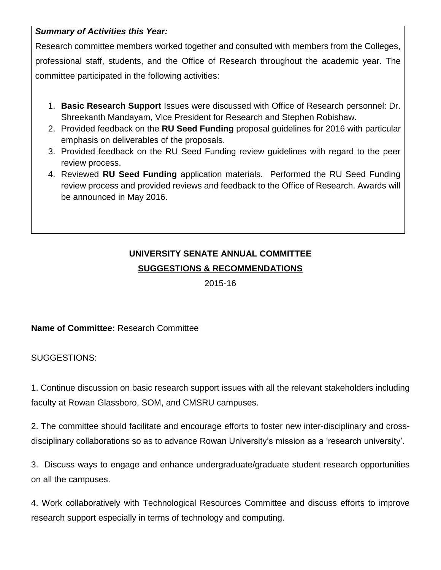## *Summary of Activities this Year:*

Research committee members worked together and consulted with members from the Colleges,

professional staff, students, and the Office of Research throughout the academic year. The committee participated in the following activities:

- 1. **Basic Research Support** Issues were discussed with Office of Research personnel: Dr. Shreekanth Mandayam, Vice President for Research and Stephen Robishaw.
- 2. Provided feedback on the **RU Seed Funding** proposal guidelines for 2016 with particular emphasis on deliverables of the proposals.
- 3. Provided feedback on the RU Seed Funding review guidelines with regard to the peer review process.
- 4. Reviewed **RU Seed Funding** application materials. Performed the RU Seed Funding review process and provided reviews and feedback to the Office of Research. Awards will be announced in May 2016.

# **UNIVERSITY SENATE ANNUAL COMMITTEE SUGGESTIONS & RECOMMENDATIONS**

2015-16

# **Name of Committee:** Research Committee

SUGGESTIONS:

1. Continue discussion on basic research support issues with all the relevant stakeholders including faculty at Rowan Glassboro, SOM, and CMSRU campuses.

2. The committee should facilitate and encourage efforts to foster new inter-disciplinary and crossdisciplinary collaborations so as to advance Rowan University's mission as a 'research university'.

3. Discuss ways to engage and enhance undergraduate/graduate student research opportunities on all the campuses.

4. Work collaboratively with Technological Resources Committee and discuss efforts to improve research support especially in terms of technology and computing.